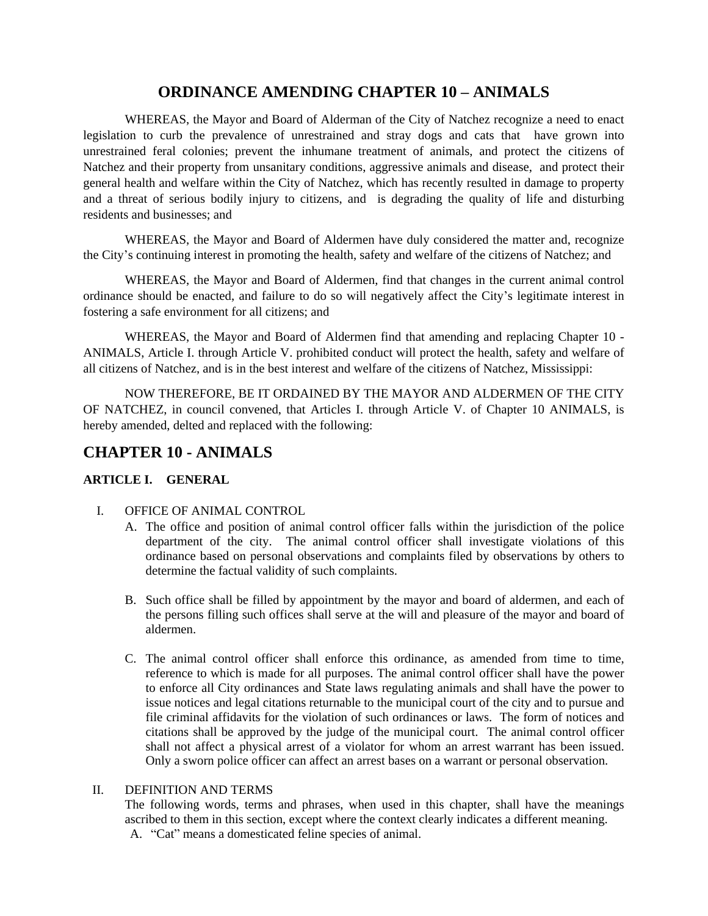# **ORDINANCE AMENDING CHAPTER 10 – ANIMALS**

WHEREAS, the Mayor and Board of Alderman of the City of Natchez recognize a need to enact legislation to curb the prevalence of unrestrained and stray dogs and cats that have grown into unrestrained feral colonies; prevent the inhumane treatment of animals, and protect the citizens of Natchez and their property from unsanitary conditions, aggressive animals and disease, and protect their general health and welfare within the City of Natchez, which has recently resulted in damage to property and a threat of serious bodily injury to citizens, and is degrading the quality of life and disturbing residents and businesses; and

WHEREAS, the Mayor and Board of Aldermen have duly considered the matter and, recognize the City's continuing interest in promoting the health, safety and welfare of the citizens of Natchez; and

WHEREAS, the Mayor and Board of Aldermen, find that changes in the current animal control ordinance should be enacted, and failure to do so will negatively affect the City's legitimate interest in fostering a safe environment for all citizens; and

WHEREAS, the Mayor and Board of Aldermen find that amending and replacing Chapter 10 - ANIMALS, Article I. through Article V. prohibited conduct will protect the health, safety and welfare of all citizens of Natchez, and is in the best interest and welfare of the citizens of Natchez, Mississippi:

NOW THEREFORE, BE IT ORDAINED BY THE MAYOR AND ALDERMEN OF THE CITY OF NATCHEZ, in council convened, that Articles I. through Article V. of Chapter 10 ANIMALS, is hereby amended, delted and replaced with the following:

# **CHAPTER 10 - ANIMALS**

# **ARTICLE I. GENERAL**

# I. OFFICE OF ANIMAL CONTROL

- A. The office and position of animal control officer falls within the jurisdiction of the police department of the city. The animal control officer shall investigate violations of this ordinance based on personal observations and complaints filed by observations by others to determine the factual validity of such complaints.
- B. Such office shall be filled by appointment by the mayor and board of aldermen, and each of the persons filling such offices shall serve at the will and pleasure of the mayor and board of aldermen.
- C. The animal control officer shall enforce this ordinance, as amended from time to time, reference to which is made for all purposes. The animal control officer shall have the power to enforce all City ordinances and State laws regulating animals and shall have the power to issue notices and legal citations returnable to the municipal court of the city and to pursue and file criminal affidavits for the violation of such ordinances or laws. The form of notices and citations shall be approved by the judge of the municipal court. The animal control officer shall not affect a physical arrest of a violator for whom an arrest warrant has been issued. Only a sworn police officer can affect an arrest bases on a warrant or personal observation.

# II. DEFINITION AND TERMS

The following words, terms and phrases, when used in this chapter, shall have the meanings ascribed to them in this section, except where the context clearly indicates a different meaning. A. "Cat" means a domesticated feline species of animal.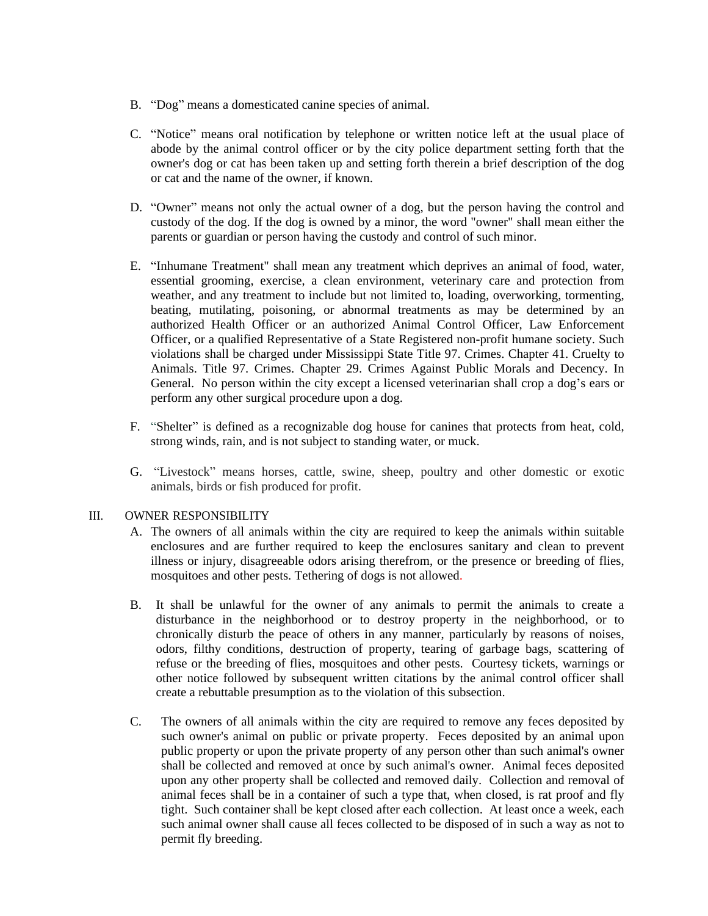- B. "Dog" means a domesticated canine species of animal.
- C. "Notice" means oral notification by telephone or written notice left at the usual place of abode by the animal control officer or by the city police department setting forth that the owner's dog or cat has been taken up and setting forth therein a brief description of the dog or cat and the name of the owner, if known.
- D. "Owner" means not only the actual owner of a dog, but the person having the control and custody of the dog. If the dog is owned by a minor, the word "owner" shall mean either the parents or guardian or person having the custody and control of such minor.
- E. "Inhumane Treatment" shall mean any treatment which deprives an animal of food, water, essential grooming, exercise, a clean environment, veterinary care and protection from weather, and any treatment to include but not limited to, loading, overworking, tormenting, beating, mutilating, poisoning, or abnormal treatments as may be determined by an authorized Health Officer or an authorized Animal Control Officer, Law Enforcement Officer, or a qualified Representative of a State Registered non-profit humane society. Such violations shall be charged under Mississippi State Title 97. Crimes. Chapter 41. Cruelty to Animals. Title 97. Crimes. Chapter 29. Crimes Against Public Morals and Decency. In General. No person within the city except a licensed veterinarian shall crop a dog's ears or perform any other surgical procedure upon a dog.
- F. "Shelter" is defined as a recognizable dog house for canines that protects from heat, cold, strong winds, rain, and is not subject to standing water, or muck.
- G. "Livestock" means horses, cattle, swine, sheep, poultry and other domestic or exotic animals, birds or fish produced for profit.

#### III. OWNER RESPONSIBILITY

- A. The owners of all animals within the city are required to keep the animals within suitable enclosures and are further required to keep the enclosures sanitary and clean to prevent illness or injury, disagreeable odors arising therefrom, or the presence or breeding of flies, mosquitoes and other pests. Tethering of dogs is not allowed.
- B. It shall be unlawful for the owner of any animals to permit the animals to create a disturbance in the neighborhood or to destroy property in the neighborhood, or to chronically disturb the peace of others in any manner, particularly by reasons of noises, odors, filthy conditions, destruction of property, tearing of garbage bags, scattering of refuse or the breeding of flies, mosquitoes and other pests. Courtesy tickets, warnings or other notice followed by subsequent written citations by the animal control officer shall create a rebuttable presumption as to the violation of this subsection.
- C. The owners of all animals within the city are required to remove any feces deposited by such owner's animal on public or private property. Feces deposited by an animal upon public property or upon the private property of any person other than such animal's owner shall be collected and removed at once by such animal's owner. Animal feces deposited upon any other property shall be collected and removed daily. Collection and removal of animal feces shall be in a container of such a type that, when closed, is rat proof and fly tight. Such container shall be kept closed after each collection. At least once a week, each such animal owner shall cause all feces collected to be disposed of in such a way as not to permit fly breeding.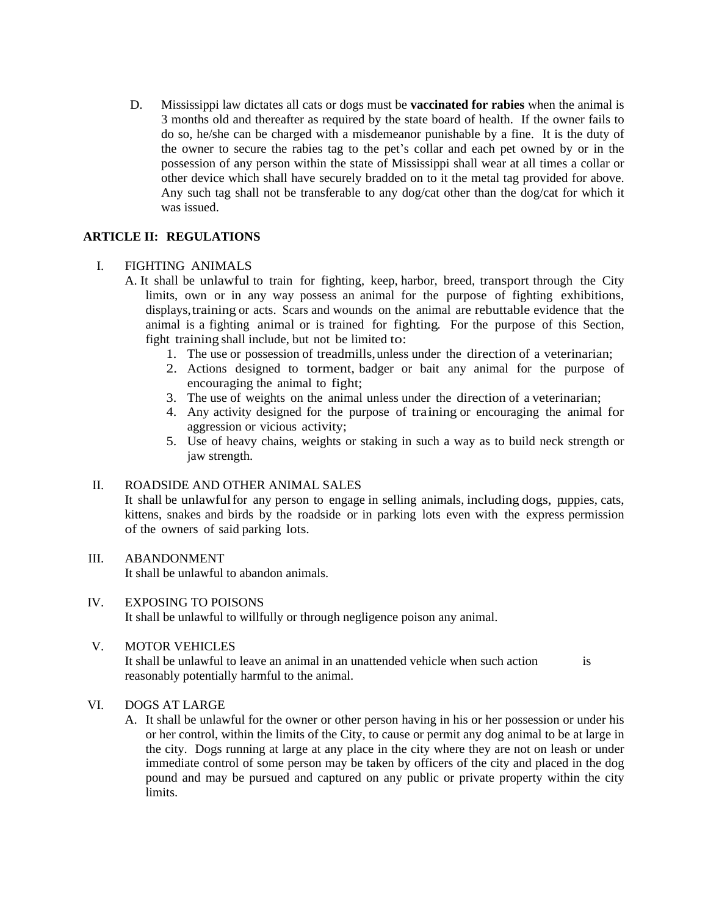D. Mississippi law dictates all cats or dogs must be **vaccinated for rabies** when the animal is 3 months old and thereafter as required by the state board of health. If the owner fails to do so, he/she can be charged with a misdemeanor punishable by a fine. It is the duty of the owner to secure the rabies tag to the pet's collar and each pet owned by or in the possession of any person within the state of Mississippi shall wear at all times a collar or other device which shall have securely bradded on to it the metal tag provided for above. Any such tag shall not be transferable to any dog/cat other than the dog/cat for which it was issued.

# **ARTICLE II: REGULATIONS**

# I. FIGHTING ANIMALS

- A. It shall be unlawful to train for fighting, keep, harbor, breed, transport through the City limits, own or in any way possess an animal for the purpose of fighting exhibitions, displays,training or acts. Scars and wounds on the animal are rebuttable evidence that the animal is a fighting animal or is trained for fighting. For the purpose of this Section, fight training shall include, but not be limited to:
	- 1. The use or possession of treadmills,unless under the direction of a veterinarian;
	- 2. Actions designed to torment, badger or bait any animal for the purpose of encouraging the animal to fight;
	- 3. The use of weights on the animal unless under the direction of a veterinarian;
	- 4. Any activity designed for the purpose of training or encouraging the animal for aggression or vicious activity;
	- 5. Use of heavy chains, weights or staking in such a way as to build neck strength or jaw strength.

# II. ROADSIDE AND OTHER ANIMAL SALES

It shall be unlawfulfor any person to engage in selling animals, including dogs, puppies, cats, kittens, snakes and birds by the roadside or in parking lots even with the express permission of the owners of said parking lots.

#### III. ABANDONMENT

It shall be unlawful to abandon animals.

#### IV. EXPOSING TO POISONS

It shall be unlawful to willfully or through negligence poison any animal.

# V. MOTOR VEHICLES

It shall be unlawful to leave an animal in an unattended vehicle when such action is reasonably potentially harmful to the animal.

#### VI. DOGS AT LARGE

A. It shall be unlawful for the owner or other person having in his or her possession or under his or her control, within the limits of the City, to cause or permit any dog animal to be at large in the city. Dogs running at large at any place in the city where they are not on leash or under immediate control of some person may be taken by officers of the city and placed in the dog pound and may be pursued and captured on any public or private property within the city limits.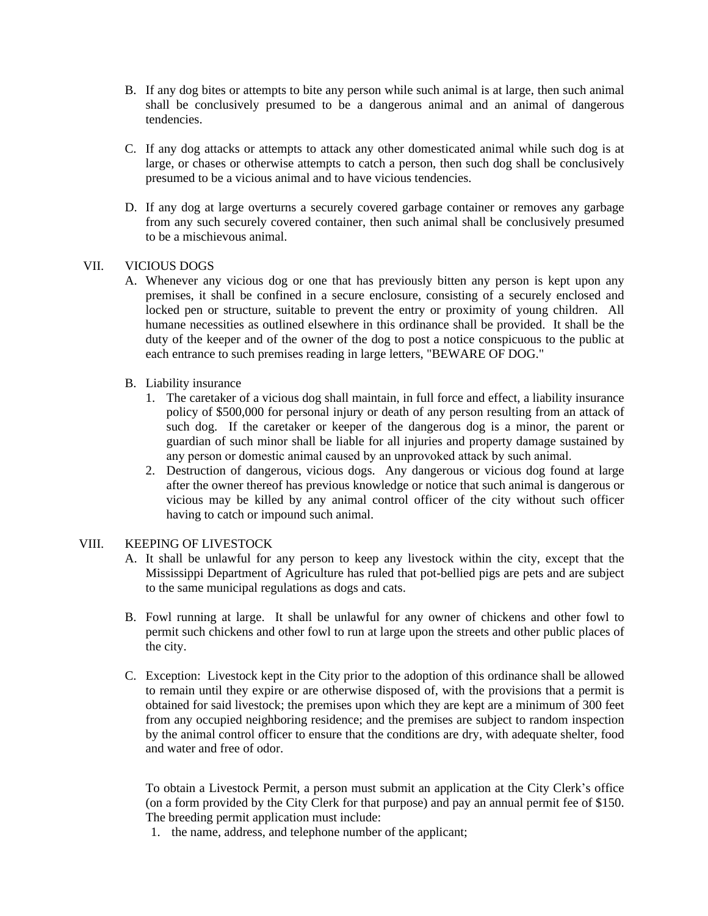- B. If any dog bites or attempts to bite any person while such animal is at large, then such animal shall be conclusively presumed to be a dangerous animal and an animal of dangerous tendencies.
- C. If any dog attacks or attempts to attack any other domesticated animal while such dog is at large, or chases or otherwise attempts to catch a person, then such dog shall be conclusively presumed to be a vicious animal and to have vicious tendencies.
- D. If any dog at large overturns a securely covered garbage container or removes any garbage from any such securely covered container, then such animal shall be conclusively presumed to be a mischievous animal.

# VII. VICIOUS DOGS

- A. Whenever any vicious dog or one that has previously bitten any person is kept upon any premises, it shall be confined in a secure enclosure, consisting of a securely enclosed and locked pen or structure, suitable to prevent the entry or proximity of young children. All humane necessities as outlined elsewhere in this ordinance shall be provided. It shall be the duty of the keeper and of the owner of the dog to post a notice conspicuous to the public at each entrance to such premises reading in large letters, "BEWARE OF DOG."
- B. Liability insurance
	- 1. The caretaker of a vicious dog shall maintain, in full force and effect, a liability insurance policy of \$500,000 for personal injury or death of any person resulting from an attack of such dog. If the caretaker or keeper of the dangerous dog is a minor, the parent or guardian of such minor shall be liable for all injuries and property damage sustained by any person or domestic animal caused by an unprovoked attack by such animal.
	- 2. Destruction of dangerous, vicious dogs. Any dangerous or vicious dog found at large after the owner thereof has previous knowledge or notice that such animal is dangerous or vicious may be killed by any animal control officer of the city without such officer having to catch or impound such animal.

# VIII. KEEPING OF LIVESTOCK

- A. It shall be unlawful for any person to keep any livestock within the city, except that the Mississippi Department of Agriculture has ruled that pot-bellied pigs are pets and are subject to the same municipal regulations as dogs and cats.
- B. Fowl running at large. It shall be unlawful for any owner of chickens and other fowl to permit such chickens and other fowl to run at large upon the streets and other public places of the city.
- C. Exception: Livestock kept in the City prior to the adoption of this ordinance shall be allowed to remain until they expire or are otherwise disposed of, with the provisions that a permit is obtained for said livestock; the premises upon which they are kept are a minimum of 300 feet from any occupied neighboring residence; and the premises are subject to random inspection by the animal control officer to ensure that the conditions are dry, with adequate shelter, food and water and free of odor.

To obtain a Livestock Permit, a person must submit an application at the City Clerk's office (on a form provided by the City Clerk for that purpose) and pay an annual permit fee of \$150. The breeding permit application must include:

1. the name, address, and telephone number of the applicant;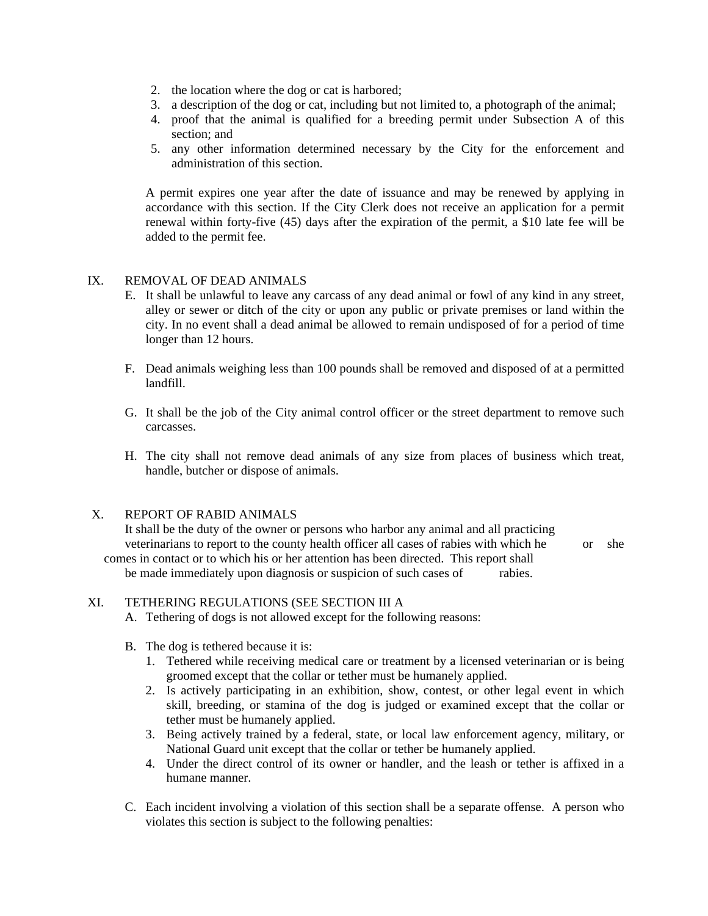- 2. the location where the dog or cat is harbored;
- 3. a description of the dog or cat, including but not limited to, a photograph of the animal;
- 4. proof that the animal is qualified for a breeding permit under Subsection A of this section; and
- 5. any other information determined necessary by the City for the enforcement and administration of this section.

A permit expires one year after the date of issuance and may be renewed by applying in accordance with this section. If the City Clerk does not receive an application for a permit renewal within forty-five (45) days after the expiration of the permit, a \$10 late fee will be added to the permit fee.

# IX. REMOVAL OF DEAD ANIMALS

- E. It shall be unlawful to leave any carcass of any dead animal or fowl of any kind in any street, alley or sewer or ditch of the city or upon any public or private premises or land within the city. In no event shall a dead animal be allowed to remain undisposed of for a period of time longer than 12 hours.
- F. Dead animals weighing less than 100 pounds shall be removed and disposed of at a permitted landfill.
- G. It shall be the job of the City animal control officer or the street department to remove such carcasses.
- H. The city shall not remove dead animals of any size from places of business which treat, handle, butcher or dispose of animals.

# X. REPORT OF RABID ANIMALS

It shall be the duty of the owner or persons who harbor any animal and all practicing veterinarians to report to the county health officer all cases of rabies with which he or she comes in contact or to which his or her attention has been directed. This report shall be made immediately upon diagnosis or suspicion of such cases of rabies.

#### XI. TETHERING REGULATIONS (SEE SECTION III A

- A. Tethering of dogs is not allowed except for the following reasons:
- B. The dog is tethered because it is:
	- 1. Tethered while receiving medical care or treatment by a licensed veterinarian or is being groomed except that the collar or tether must be humanely applied.
	- 2. Is actively participating in an exhibition, show, contest, or other legal event in which skill, breeding, or stamina of the dog is judged or examined except that the collar or tether must be humanely applied.
	- 3. Being actively trained by a federal, state, or local law enforcement agency, military, or National Guard unit except that the collar or tether be humanely applied.
	- 4. Under the direct control of its owner or handler, and the leash or tether is affixed in a humane manner.
- C. Each incident involving a violation of this section shall be a separate offense. A person who violates this section is subject to the following penalties: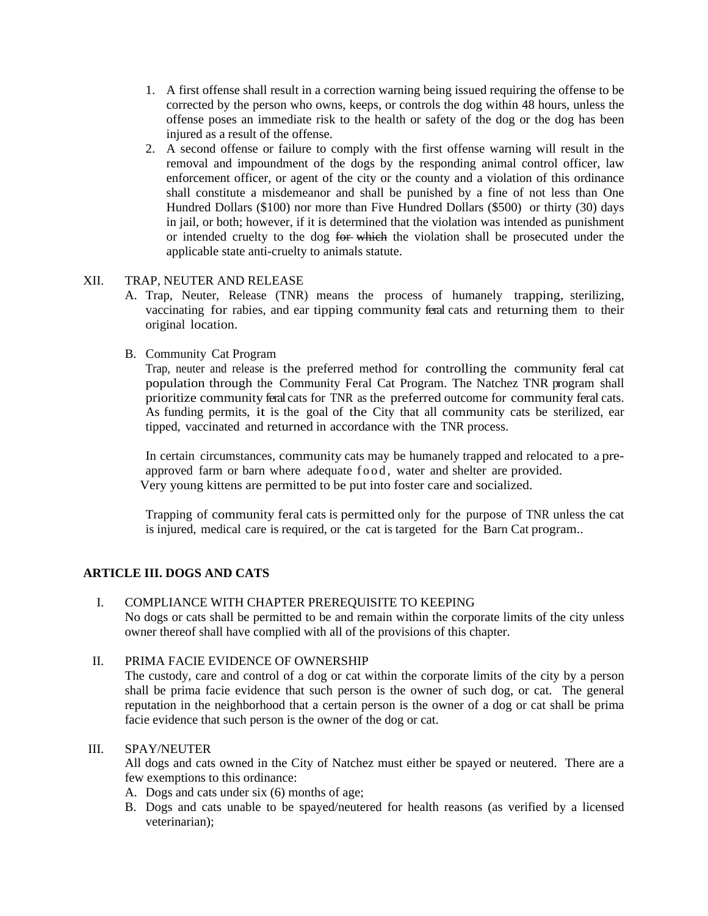- 1. A first offense shall result in a correction warning being issued requiring the offense to be corrected by the person who owns, keeps, or controls the dog within 48 hours, unless the offense poses an immediate risk to the health or safety of the dog or the dog has been injured as a result of the offense.
- 2. A second offense or failure to comply with the first offense warning will result in the removal and impoundment of the dogs by the responding animal control officer, law enforcement officer, or agent of the city or the county and a violation of this ordinance shall constitute a misdemeanor and shall be punished by a fine of not less than One Hundred Dollars (\$100) nor more than Five Hundred Dollars (\$500) or thirty (30) days in jail, or both; however, if it is determined that the violation was intended as punishment or intended cruelty to the dog for which the violation shall be prosecuted under the applicable state anti-cruelty to animals statute.

# XII. TRAP, NEUTER AND RELEASE

A. Trap, Neuter, Release (TNR) means the process of humanely trapping, sterilizing, vaccinating for rabies, and ear tipping community feral cats and returning them to their original location.

# B. Community Cat Program

Trap, neuter and release is the preferred method for controlling the community feral cat population through the Community Feral Cat Program. The Natchez TNR program shall prioritize community feral cats for TNR as the preferred outcome for community feral cats. As funding permits, it is the goal of the City that all community cats be sterilized, ear tipped, vaccinated and returned in accordance with the TNR process.

In certain circumstances, community cats may be humanely trapped and relocated to a preapproved farm or barn where adequate food, water and shelter are provided. Very young kittens are permitted to be put into foster care and socialized.

Trapping of community feral cats is permitted only for the purpose of TNR unless the cat is injured, medical care is required, or the cat is targeted for the Barn Cat program..

# **ARTICLE III. DOGS AND CATS**

# I. COMPLIANCE WITH CHAPTER PREREQUISITE TO KEEPING

No dogs or cats shall be permitted to be and remain within the corporate limits of the city unless owner thereof shall have complied with all of the provisions of this chapter.

# II. PRIMA FACIE EVIDENCE OF OWNERSHIP

The custody, care and control of a dog or cat within the corporate limits of the city by a person shall be prima facie evidence that such person is the owner of such dog, or cat. The general reputation in the neighborhood that a certain person is the owner of a dog or cat shall be prima facie evidence that such person is the owner of the dog or cat.

#### III. SPAY/NEUTER

All dogs and cats owned in the City of Natchez must either be spayed or neutered. There are a few exemptions to this ordinance:

- A. Dogs and cats under six (6) months of age;
- B. Dogs and cats unable to be spayed/neutered for health reasons (as verified by a licensed veterinarian);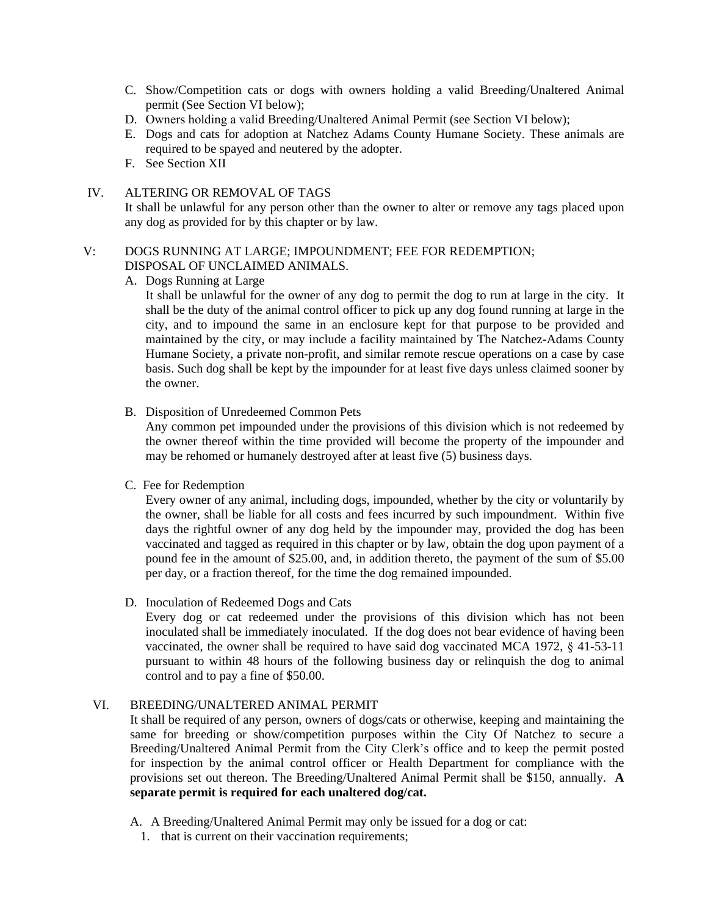- C. Show/Competition cats or dogs with owners holding a valid Breeding/Unaltered Animal permit (See Section VI below);
- D. Owners holding a valid Breeding/Unaltered Anima[l Permit](https://dallascityhall.com/departments/dallas-animal-services/Pages/Breeding-Permit.aspx) (see Section VI below);
- E. Dogs and cats for adoption at Natchez Adams County Humane Society. These animals are required to be spayed and neutered by the adopter.
- F. See Section XII

### IV. ALTERING OR REMOVAL OF TAGS

It shall be unlawful for any person other than the owner to alter or remove any tags placed upon any dog as provided for by this chapter or by law.

# V: DOGS RUNNING AT LARGE; IMPOUNDMENT; FEE FOR REDEMPTION;

# DISPOSAL OF UNCLAIMED ANIMALS.

A. Dogs Running at Large

It shall be unlawful for the owner of any dog to permit the dog to run at large in the city. It shall be the duty of the animal control officer to pick up any dog found running at large in the city, and to impound the same in an enclosure kept for that purpose to be provided and maintained by the city, or may include a facility maintained by The Natchez-Adams County Humane Society, a private non-profit, and similar remote rescue operations on a case by case basis. Such dog shall be kept by the impounder for at least five days unless claimed sooner by the owner.

B. Disposition of Unredeemed Common Pets

Any common pet impounded under the provisions of this division which is not redeemed by the owner thereof within the time provided will become the property of the impounder and may be rehomed or humanely destroyed after at least five (5) business days.

C. Fee for Redemption

Every owner of any animal, including dogs, impounded, whether by the city or voluntarily by the owner, shall be liable for all costs and fees incurred by such impoundment. Within five days the rightful owner of any dog held by the impounder may, provided the dog has been vaccinated and tagged as required in this chapter or by law, obtain the dog upon payment of a pound fee in the amount of \$25.00, and, in addition thereto, the payment of the sum of \$5.00 per day, or a fraction thereof, for the time the dog remained impounded.

D. Inoculation of Redeemed Dogs and Cats

Every dog or cat redeemed under the provisions of this division which has not been inoculated shall be immediately inoculated. If the dog does not bear evidence of having been vaccinated, the owner shall be required to have said dog vaccinated MCA 1972, § 41-53-11 pursuant to within 48 hours of the following business day or relinquish the dog to animal control and to pay a fine of \$50.00.

# VI. BREEDING/UNALTERED ANIMAL PERMIT

It shall be required of any person, owners of dogs/cats or otherwise, keeping and maintaining the same for breeding or show/competition purposes within the City Of Natchez to secure a Breeding/Unaltered Animal Permit from the City Clerk's office and to keep the permit posted for inspection by the animal control officer or Health Department for compliance with the provisions set out thereon. The Breeding/Unaltered Animal Permit shall be \$150, annually. **A separate permit is required for each unaltered dog/cat.**

- A. A Breeding/Unaltered Animal Permit may only be issued for a dog or cat:
	- 1. that is current on their vaccination requirements;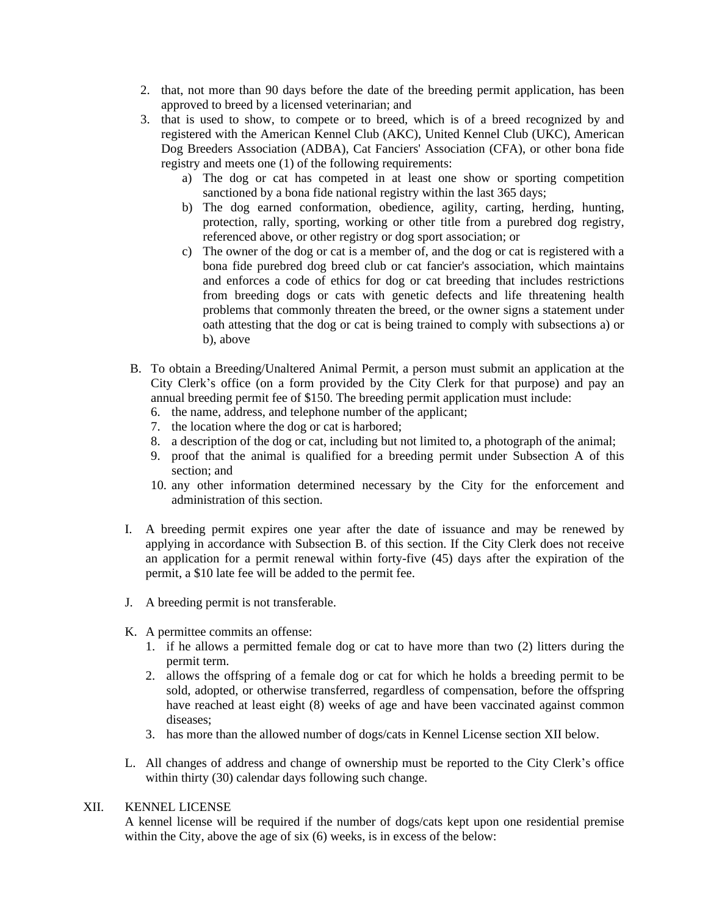- 2. that, not more than 90 days before the date of the breeding permit application, has been approved to breed by a licensed veterinarian; and
- 3. that is used to show, to compete or to breed, which is of a breed recognized by and registered with the American Kennel Club (AKC), United Kennel Club (UKC), American Dog Breeders Association (ADBA), Cat Fanciers' Association (CFA), or other bona fide registry and meets one (1) of the following requirements:
	- a) The dog or cat has competed in at least one show or sporting competition sanctioned by a bona fide national registry within the last 365 days;
	- b) The dog earned conformation, obedience, agility, carting, herding, hunting, protection, rally, sporting, working or other title from a purebred dog registry, referenced above, or other registry or dog sport association; or
	- c) The owner of the dog or cat is a member of, and the dog or cat is registered with a bona fide purebred dog breed club or cat fancier's association, which maintains and enforces a code of ethics for dog or cat breeding that includes restrictions from breeding dogs or cats with genetic defects and life threatening health problems that commonly threaten the breed, or the owner signs a statement under oath attesting that the dog or cat is being trained to comply with subsections a) or b), above
- B. To obtain a Breeding/Unaltered Animal Permit, a person must submit an application at the City Clerk's office (on a form provided by the City Clerk for that purpose) and pay an annual breeding permit fee of \$150. The breeding permit application must include:
	- 6. the name, address, and telephone number of the applicant;
	- 7. the location where the dog or cat is harbored;
	- 8. a description of the dog or cat, including but not limited to, a photograph of the animal;
	- 9. proof that the animal is qualified for a breeding permit under Subsection A of this section; and
	- 10. any other information determined necessary by the City for the enforcement and administration of this section.
- I. A breeding permit expires one year after the date of issuance and may be renewed by applying in accordance with Subsection B. of this section. If the City Clerk does not receive an application for a permit renewal within forty-five (45) days after the expiration of the permit, a \$10 late fee will be added to the permit fee.
- J. A breeding permit is not transferable.
- K. A permittee commits an offense:
	- 1. if he allows a permitted female dog or cat to have more than two (2) litters during the permit term.
	- 2. allows the offspring of a female dog or cat for which he holds a breeding permit to be sold, adopted, or otherwise transferred, regardless of compensation, before the offspring have reached at least eight (8) weeks of age and have been vaccinated against common diseases;
	- 3. has more than the allowed number of dogs/cats in Kennel License section XII below.
- L. All changes of address and change of ownership must be reported to the City Clerk's office within thirty (30) calendar days following such change.

# XII. KENNEL LICENSE

A kennel license will be required if the number of dogs/cats kept upon one residential premise within the City, above the age of six  $(6)$  weeks, is in excess of the below: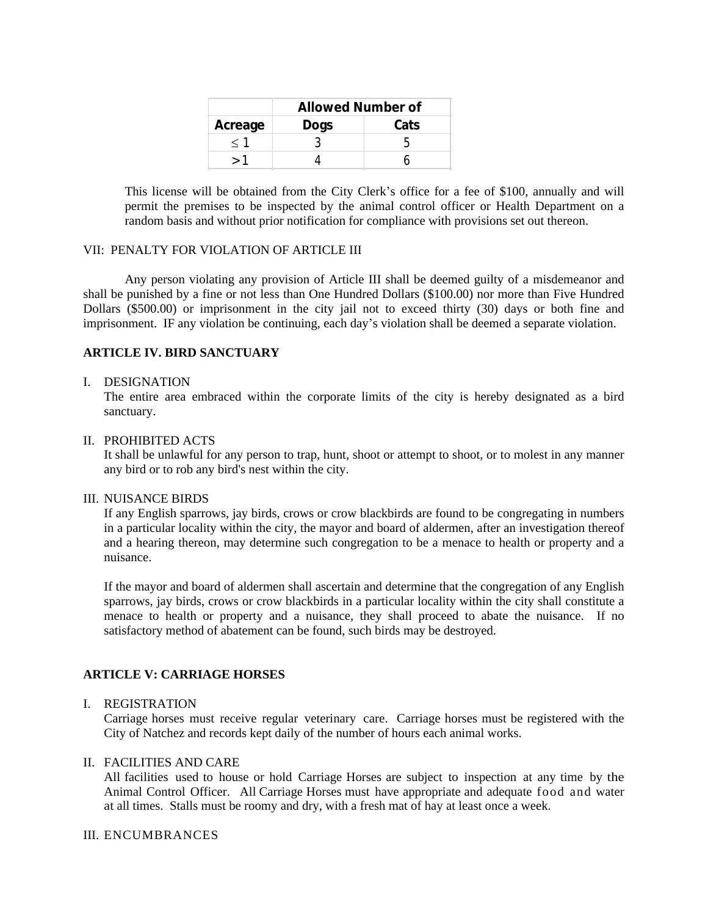|          | <b>Allowed Number of</b> |      |
|----------|--------------------------|------|
| Acreage  | <b>Dogs</b>              | Cats |
| $\leq 1$ |                          |      |
|          |                          |      |

This license will be obtained from the City Clerk's office for a fee of \$100, annually and will permit the premises to be inspected by the animal control officer or Health Department on a random basis and without prior notification for compliance with provisions set out thereon.

#### VII: PENALTY FOR VIOLATION OF ARTICLE III

Any person violating any provision of Article III shall be deemed guilty of a misdemeanor and shall be punished by a fine or not less than One Hundred Dollars (\$100.00) nor more than Five Hundred Dollars (\$500.00) or imprisonment in the city jail not to exceed thirty (30) days or both fine and imprisonment. IF any violation be continuing, each day's violation shall be deemed a separate violation.

# **ARTICLE IV. BIRD SANCTUARY**

#### I. DESIGNATION

The entire area embraced within the corporate limits of the city is hereby designated as a bird sanctuary.

#### II. PROHIBITED ACTS

It shall be unlawful for any person to trap, hunt, shoot or attempt to shoot, or to molest in any manner any bird or to rob any bird's nest within the city.

### III. NUISANCE BIRDS

If any English sparrows, jay birds, crows or crow blackbirds are found to be congregating in numbers in a particular locality within the city, the mayor and board of aldermen, after an investigation thereof and a hearing thereon, may determine such congregation to be a menace to health or property and a nuisance.

If the mayor and board of aldermen shall ascertain and determine that the congregation of any English sparrows, jay birds, crows or crow blackbirds in a particular locality within the city shall constitute a menace to health or property and a nuisance, they shall proceed to abate the nuisance. If no satisfactory method of abatement can be found, such birds may be destroyed.

#### **ARTICLE V: CARRIAGE HORSES**

#### I. REGISTRATION

Carriage horses must receive regular veterinary care. Carriage horses must be registered with the City of Natchez and records kept daily of the number of hours each animal works.

#### II. FACILITIES AND CARE

All facilities used to house or hold Carriage Horses are subject to inspection at any time by the Animal Control Officer. All Carriage Horses must have appropriate and adequate food and water at all times. Stalls must be roomy and dry, with a fresh mat of hay at least once a week.

#### III. ENCUMBRANCES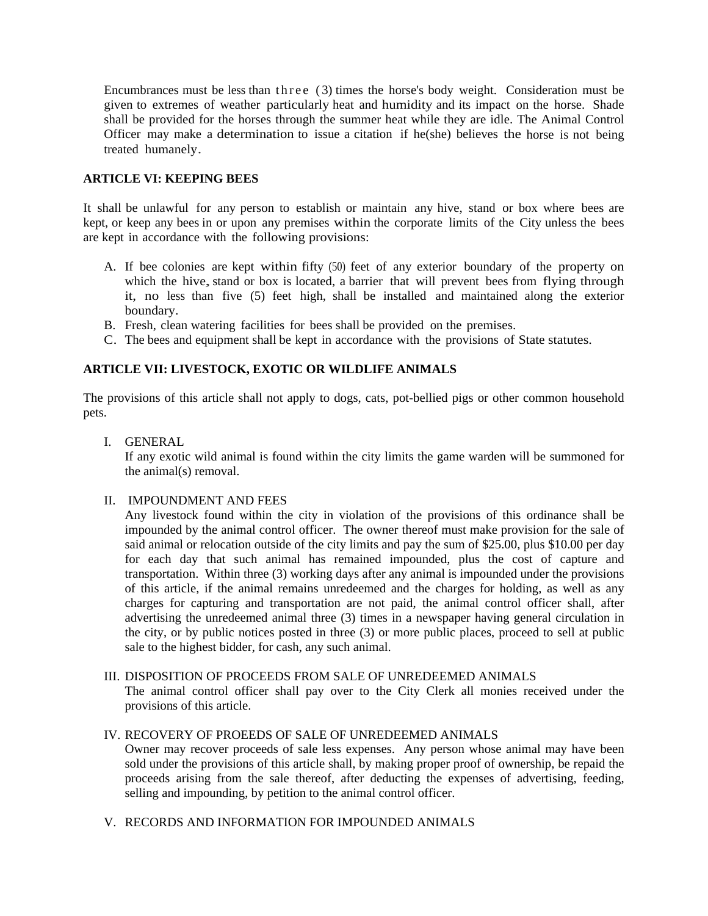Encumbrances must be less than three  $(3)$  times the horse's body weight. Consideration must be given to extremes of weather particularly heat and humidity and its impact on the horse. Shade shall be provided for the horses through the summer heat while they are idle. The Animal Control Officer may make a determination to issue a citation if he(she) believes the horse is not being treated humanely.

# **ARTICLE VI: KEEPING BEES**

It shall be unlawful for any person to establish or maintain any hive, stand or box where bees are kept, or keep any bees in or upon any premises within the corporate limits of the City unless the bees are kept in accordance with the following provisions:

- A. If bee colonies are kept within fifty (50) feet of any exterior boundary of the property on which the hive, stand or box is located, a barrier that will prevent bees from flying through it, no less than five (5) feet high, shall be installed and maintained along the exterior boundary.
- B. Fresh, clean watering facilities for bees shall be provided on the premises.
- C. The bees and equipment shall be kept in accordance with the provisions of State statutes.

# **ARTICLE VII: LIVESTOCK, EXOTIC OR WILDLIFE ANIMALS**

The provisions of this article shall not apply to dogs, cats, pot-bellied pigs or other common household pets.

I. GENERAL

If any exotic wild animal is found within the city limits the game warden will be summoned for the animal(s) removal.

# II. IMPOUNDMENT AND FEES

Any livestock found within the city in violation of the provisions of this ordinance shall be impounded by the animal control officer. The owner thereof must make provision for the sale of said animal or relocation outside of the city limits and pay the sum of \$25.00, plus \$10.00 per day for each day that such animal has remained impounded, plus the cost of capture and transportation. Within three (3) working days after any animal is impounded under the provisions of this article, if the animal remains unredeemed and the charges for holding, as well as any charges for capturing and transportation are not paid, the animal control officer shall, after advertising the unredeemed animal three (3) times in a newspaper having general circulation in the city, or by public notices posted in three (3) or more public places, proceed to sell at public sale to the highest bidder, for cash, any such animal.

#### III. DISPOSITION OF PROCEEDS FROM SALE OF UNREDEEMED ANIMALS

The animal control officer shall pay over to the City Clerk all monies received under the provisions of this article.

# IV. RECOVERY OF PROEEDS OF SALE OF UNREDEEMED ANIMALS

Owner may recover proceeds of sale less expenses. Any person whose animal may have been sold under the provisions of this article shall, by making proper proof of ownership, be repaid the proceeds arising from the sale thereof, after deducting the expenses of advertising, feeding, selling and impounding, by petition to the animal control officer.

#### V. RECORDS AND INFORMATION FOR IMPOUNDED ANIMALS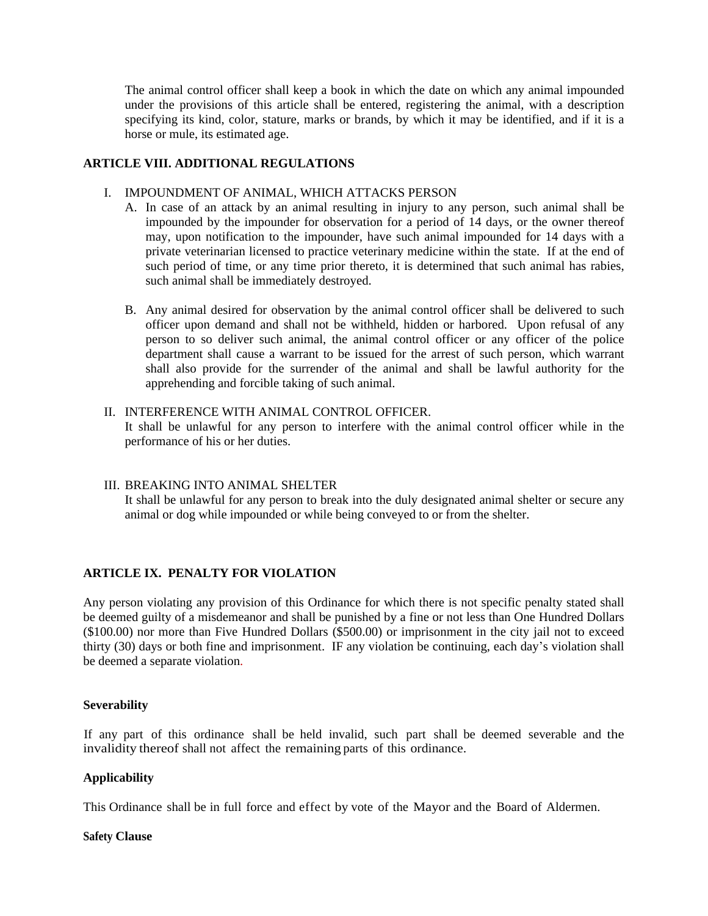The animal control officer shall keep a book in which the date on which any animal impounded under the provisions of this article shall be entered, registering the animal, with a description specifying its kind, color, stature, marks or brands, by which it may be identified, and if it is a horse or mule, its estimated age.

# **ARTICLE VIII. ADDITIONAL REGULATIONS**

#### I. IMPOUNDMENT OF ANIMAL, WHICH ATTACKS PERSON

- A. In case of an attack by an animal resulting in injury to any person, such animal shall be impounded by the impounder for observation for a period of 14 days, or the owner thereof may, upon notification to the impounder, have such animal impounded for 14 days with a private veterinarian licensed to practice veterinary medicine within the state. If at the end of such period of time, or any time prior thereto, it is determined that such animal has rabies, such animal shall be immediately destroyed.
- B. Any animal desired for observation by the animal control officer shall be delivered to such officer upon demand and shall not be withheld, hidden or harbored. Upon refusal of any person to so deliver such animal, the animal control officer or any officer of the police department shall cause a warrant to be issued for the arrest of such person, which warrant shall also provide for the surrender of the animal and shall be lawful authority for the apprehending and forcible taking of such animal.

#### II. INTERFERENCE WITH ANIMAL CONTROL OFFICER.

It shall be unlawful for any person to interfere with the animal control officer while in the performance of his or her duties.

#### III. BREAKING INTO ANIMAL SHELTER

It shall be unlawful for any person to break into the duly designated animal shelter or secure any animal or dog while impounded or while being conveyed to or from the shelter.

# **ARTICLE IX. PENALTY FOR VIOLATION**

Any person violating any provision of this Ordinance for which there is not specific penalty stated shall be deemed guilty of a misdemeanor and shall be punished by a fine or not less than One Hundred Dollars (\$100.00) nor more than Five Hundred Dollars (\$500.00) or imprisonment in the city jail not to exceed thirty (30) days or both fine and imprisonment. IF any violation be continuing, each day's violation shall be deemed a separate violation.

#### **Severability**

If any part of this ordinance shall be held invalid, such part shall be deemed severable and the invalidity thereof shall not affect the remaining parts of this ordinance.

# **Applicability**

This Ordinance shall be in full force and effect by vote of the Mayor and the Board of Aldermen.

#### **Safety Clause**